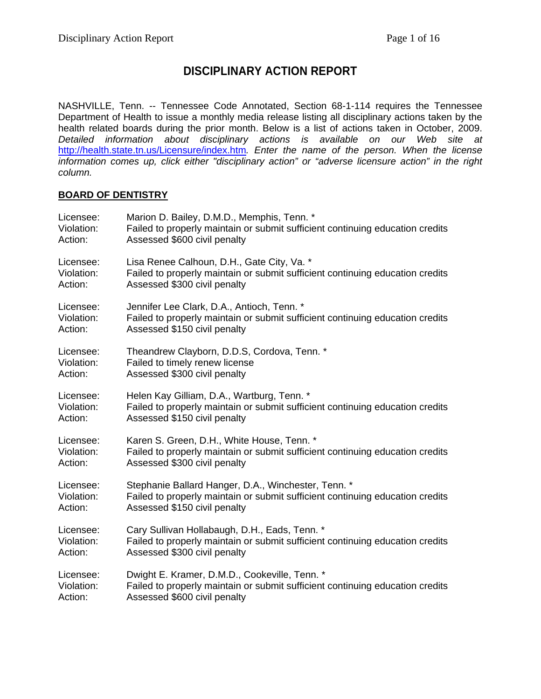# **DISCIPLINARY ACTION REPORT**

NASHVILLE, Tenn. -- Tennessee Code Annotated, Section 68-1-114 requires the Tennessee Department of Health to issue a monthly media release listing all disciplinary actions taken by the health related boards during the prior month. Below is a list of actions taken in October, 2009. *Detailed information about disciplinary actions is available on our Web site at*  <http://health.state.tn.us/Licensure/index.htm>*. Enter the name of the person. When the license information comes up, click either "disciplinary action" or "adverse licensure action" in the right column.* 

## **BOARD OF DENTISTRY**

| Licensee:  | Marion D. Bailey, D.M.D., Memphis, Tenn. *                                    |
|------------|-------------------------------------------------------------------------------|
| Violation: | Failed to properly maintain or submit sufficient continuing education credits |
| Action:    | Assessed \$600 civil penalty                                                  |
| Licensee:  | Lisa Renee Calhoun, D.H., Gate City, Va. *                                    |
| Violation: | Failed to properly maintain or submit sufficient continuing education credits |
| Action:    | Assessed \$300 civil penalty                                                  |
| Licensee:  | Jennifer Lee Clark, D.A., Antioch, Tenn. *                                    |
| Violation: | Failed to properly maintain or submit sufficient continuing education credits |
| Action:    | Assessed \$150 civil penalty                                                  |
| Licensee:  | Theandrew Clayborn, D.D.S, Cordova, Tenn. *                                   |
| Violation: | Failed to timely renew license                                                |
| Action:    | Assessed \$300 civil penalty                                                  |
| Licensee:  | Helen Kay Gilliam, D.A., Wartburg, Tenn. *                                    |
| Violation: | Failed to properly maintain or submit sufficient continuing education credits |
| Action:    | Assessed \$150 civil penalty                                                  |
| Licensee:  | Karen S. Green, D.H., White House, Tenn. *                                    |
| Violation: | Failed to properly maintain or submit sufficient continuing education credits |
| Action:    | Assessed \$300 civil penalty                                                  |
| Licensee:  | Stephanie Ballard Hanger, D.A., Winchester, Tenn. *                           |
| Violation: | Failed to properly maintain or submit sufficient continuing education credits |
| Action:    | Assessed \$150 civil penalty                                                  |
| Licensee:  | Cary Sullivan Hollabaugh, D.H., Eads, Tenn. *                                 |
| Violation: | Failed to properly maintain or submit sufficient continuing education credits |
| Action:    | Assessed \$300 civil penalty                                                  |
| Licensee:  | Dwight E. Kramer, D.M.D., Cookeville, Tenn. *                                 |
| Violation: | Failed to properly maintain or submit sufficient continuing education credits |
| Action:    | Assessed \$600 civil penalty                                                  |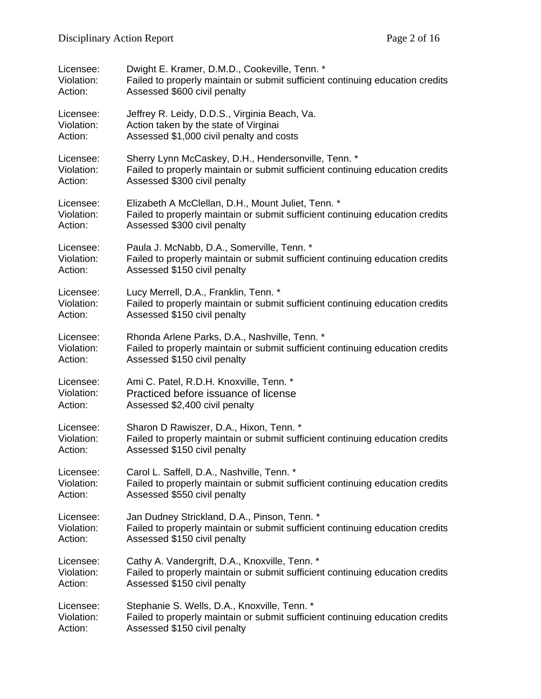| Licensee:  | Dwight E. Kramer, D.M.D., Cookeville, Tenn. *                                 |
|------------|-------------------------------------------------------------------------------|
| Violation: | Failed to properly maintain or submit sufficient continuing education credits |
| Action:    | Assessed \$600 civil penalty                                                  |
| Licensee:  | Jeffrey R. Leidy, D.D.S., Virginia Beach, Va.                                 |
| Violation: | Action taken by the state of Virginai                                         |
| Action:    | Assessed \$1,000 civil penalty and costs                                      |
| Licensee:  | Sherry Lynn McCaskey, D.H., Hendersonville, Tenn. *                           |
| Violation: | Failed to properly maintain or submit sufficient continuing education credits |
| Action:    | Assessed \$300 civil penalty                                                  |
| Licensee:  | Elizabeth A McClellan, D.H., Mount Juliet, Tenn. *                            |
| Violation: | Failed to properly maintain or submit sufficient continuing education credits |
| Action:    | Assessed \$300 civil penalty                                                  |
| Licensee:  | Paula J. McNabb, D.A., Somerville, Tenn. *                                    |
| Violation: | Failed to properly maintain or submit sufficient continuing education credits |
| Action:    | Assessed \$150 civil penalty                                                  |
| Licensee:  | Lucy Merrell, D.A., Franklin, Tenn. *                                         |
| Violation: | Failed to properly maintain or submit sufficient continuing education credits |
| Action:    | Assessed \$150 civil penalty                                                  |
| Licensee:  | Rhonda Arlene Parks, D.A., Nashville, Tenn. *                                 |
| Violation: | Failed to properly maintain or submit sufficient continuing education credits |
| Action:    | Assessed \$150 civil penalty                                                  |
| Licensee:  | Ami C. Patel, R.D.H. Knoxville, Tenn. *                                       |
| Violation: | Practiced before issuance of license                                          |
| Action:    | Assessed \$2,400 civil penalty                                                |
| Licensee:  | Sharon D Rawiszer, D.A., Hixon, Tenn. *                                       |
| Violation: | Failed to properly maintain or submit sufficient continuing education credits |
| Action:    | Assessed \$150 civil penalty                                                  |
| Licensee:  | Carol L. Saffell, D.A., Nashville, Tenn. *                                    |
| Violation: | Failed to properly maintain or submit sufficient continuing education credits |
| Action:    | Assessed \$550 civil penalty                                                  |
| Licensee:  | Jan Dudney Strickland, D.A., Pinson, Tenn. *                                  |
| Violation: | Failed to properly maintain or submit sufficient continuing education credits |
| Action:    | Assessed \$150 civil penalty                                                  |
| Licensee:  | Cathy A. Vandergrift, D.A., Knoxville, Tenn. *                                |
| Violation: | Failed to properly maintain or submit sufficient continuing education credits |
| Action:    | Assessed \$150 civil penalty                                                  |
| Licensee:  | Stephanie S. Wells, D.A., Knoxville, Tenn. *                                  |
| Violation: | Failed to properly maintain or submit sufficient continuing education credits |
| Action:    | Assessed \$150 civil penalty                                                  |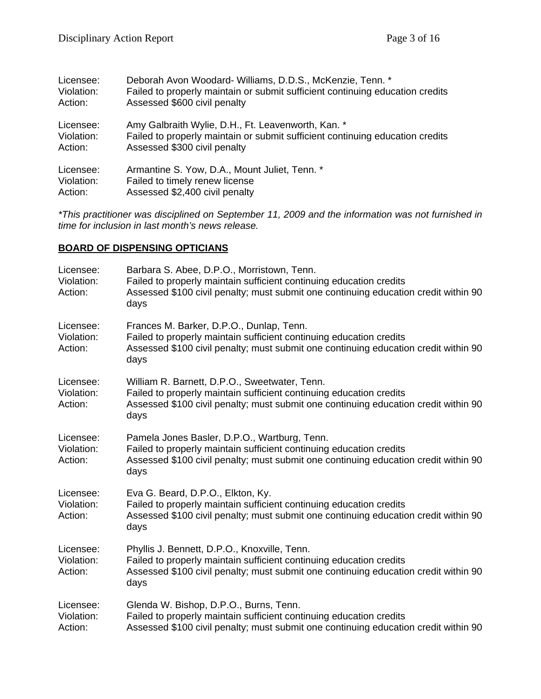| Licensee:  | Deborah Avon Woodard- Williams, D.D.S., McKenzie, Tenn. *                     |
|------------|-------------------------------------------------------------------------------|
| Violation: | Failed to properly maintain or submit sufficient continuing education credits |
| Action:    | Assessed \$600 civil penalty                                                  |
| Licensee:  | Amy Galbraith Wylie, D.H., Ft. Leavenworth, Kan. *                            |
| Violation: | Failed to properly maintain or submit sufficient continuing education credits |
| Action:    | Assessed \$300 civil penalty                                                  |
| Licensee:  | Armantine S. Yow, D.A., Mount Juliet, Tenn. *                                 |
| Violation: | Failed to timely renew license                                                |
| Action:    | Assessed \$2,400 civil penalty                                                |

*\*This practitioner was disciplined on September 11, 2009 and the information was not furnished in time for inclusion in last month's news release.* 

## **BOARD OF DISPENSING OPTICIANS**

| Licensee:<br>Violation:<br>Action: | Barbara S. Abee, D.P.O., Morristown, Tenn.<br>Failed to properly maintain sufficient continuing education credits<br>Assessed \$100 civil penalty; must submit one continuing education credit within 90<br>days    |
|------------------------------------|---------------------------------------------------------------------------------------------------------------------------------------------------------------------------------------------------------------------|
| Licensee:<br>Violation:<br>Action: | Frances M. Barker, D.P.O., Dunlap, Tenn.<br>Failed to properly maintain sufficient continuing education credits<br>Assessed \$100 civil penalty; must submit one continuing education credit within 90<br>days      |
| Licensee:<br>Violation:<br>Action: | William R. Barnett, D.P.O., Sweetwater, Tenn.<br>Failed to properly maintain sufficient continuing education credits<br>Assessed \$100 civil penalty; must submit one continuing education credit within 90<br>days |
| Licensee:<br>Violation:<br>Action: | Pamela Jones Basler, D.P.O., Wartburg, Tenn.<br>Failed to properly maintain sufficient continuing education credits<br>Assessed \$100 civil penalty; must submit one continuing education credit within 90<br>days  |
| Licensee:<br>Violation:<br>Action: | Eva G. Beard, D.P.O., Elkton, Ky.<br>Failed to properly maintain sufficient continuing education credits<br>Assessed \$100 civil penalty; must submit one continuing education credit within 90<br>days             |
| Licensee:<br>Violation:<br>Action: | Phyllis J. Bennett, D.P.O., Knoxville, Tenn.<br>Failed to properly maintain sufficient continuing education credits<br>Assessed \$100 civil penalty; must submit one continuing education credit within 90<br>days  |
| Licensee:<br>Violation:<br>Action: | Glenda W. Bishop, D.P.O., Burns, Tenn.<br>Failed to properly maintain sufficient continuing education credits<br>Assessed \$100 civil penalty; must submit one continuing education credit within 90                |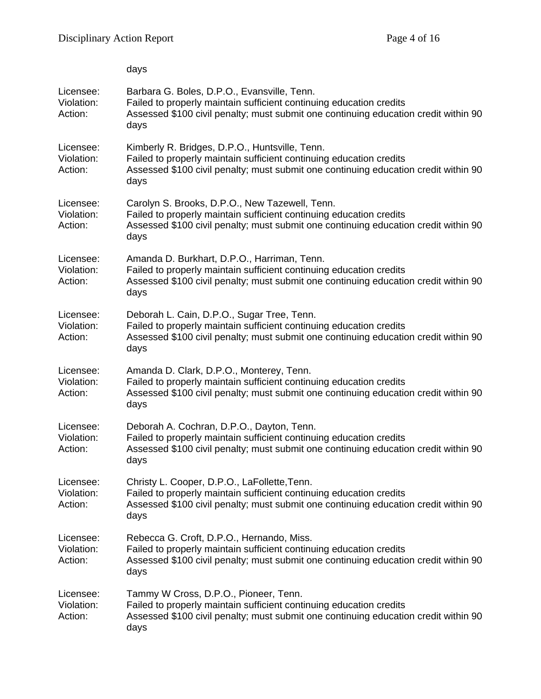|                                    | days                                                                                                                                                                                                                 |
|------------------------------------|----------------------------------------------------------------------------------------------------------------------------------------------------------------------------------------------------------------------|
| Licensee:<br>Violation:<br>Action: | Barbara G. Boles, D.P.O., Evansville, Tenn.<br>Failed to properly maintain sufficient continuing education credits<br>Assessed \$100 civil penalty; must submit one continuing education credit within 90<br>days    |
| Licensee:<br>Violation:<br>Action: | Kimberly R. Bridges, D.P.O., Huntsville, Tenn.<br>Failed to properly maintain sufficient continuing education credits<br>Assessed \$100 civil penalty; must submit one continuing education credit within 90<br>days |
| Licensee:<br>Violation:<br>Action: | Carolyn S. Brooks, D.P.O., New Tazewell, Tenn.<br>Failed to properly maintain sufficient continuing education credits<br>Assessed \$100 civil penalty; must submit one continuing education credit within 90<br>days |
| Licensee:<br>Violation:<br>Action: | Amanda D. Burkhart, D.P.O., Harriman, Tenn.<br>Failed to properly maintain sufficient continuing education credits<br>Assessed \$100 civil penalty; must submit one continuing education credit within 90<br>days    |
| Licensee:<br>Violation:<br>Action: | Deborah L. Cain, D.P.O., Sugar Tree, Tenn.<br>Failed to properly maintain sufficient continuing education credits<br>Assessed \$100 civil penalty; must submit one continuing education credit within 90<br>days     |
| Licensee:<br>Violation:<br>Action: | Amanda D. Clark, D.P.O., Monterey, Tenn.<br>Failed to properly maintain sufficient continuing education credits<br>Assessed \$100 civil penalty; must submit one continuing education credit within 90<br>days       |
| Licensee:<br>Violation:<br>Action: | Deborah A. Cochran, D.P.O., Dayton, Tenn.<br>Failed to properly maintain sufficient continuing education credits<br>Assessed \$100 civil penalty; must submit one continuing education credit within 90<br>days      |
| Licensee:<br>Violation:<br>Action: | Christy L. Cooper, D.P.O., LaFollette, Tenn.<br>Failed to properly maintain sufficient continuing education credits<br>Assessed \$100 civil penalty; must submit one continuing education credit within 90<br>days   |
| Licensee:<br>Violation:<br>Action: | Rebecca G. Croft, D.P.O., Hernando, Miss.<br>Failed to properly maintain sufficient continuing education credits<br>Assessed \$100 civil penalty; must submit one continuing education credit within 90<br>days      |
| Licensee:<br>Violation:<br>Action: | Tammy W Cross, D.P.O., Pioneer, Tenn.<br>Failed to properly maintain sufficient continuing education credits<br>Assessed \$100 civil penalty; must submit one continuing education credit within 90<br>days          |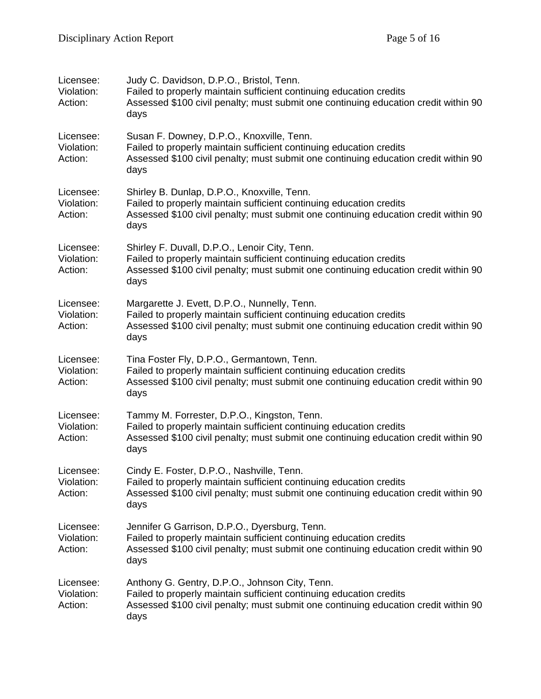| Licensee:<br>Violation:<br>Action: | Judy C. Davidson, D.P.O., Bristol, Tenn.<br>Failed to properly maintain sufficient continuing education credits<br>Assessed \$100 civil penalty; must submit one continuing education credit within 90<br>days       |
|------------------------------------|----------------------------------------------------------------------------------------------------------------------------------------------------------------------------------------------------------------------|
| Licensee:<br>Violation:<br>Action: | Susan F. Downey, D.P.O., Knoxville, Tenn.<br>Failed to properly maintain sufficient continuing education credits<br>Assessed \$100 civil penalty; must submit one continuing education credit within 90<br>days      |
| Licensee:<br>Violation:<br>Action: | Shirley B. Dunlap, D.P.O., Knoxville, Tenn.<br>Failed to properly maintain sufficient continuing education credits<br>Assessed \$100 civil penalty; must submit one continuing education credit within 90<br>days    |
| Licensee:<br>Violation:<br>Action: | Shirley F. Duvall, D.P.O., Lenoir City, Tenn.<br>Failed to properly maintain sufficient continuing education credits<br>Assessed \$100 civil penalty; must submit one continuing education credit within 90<br>days  |
| Licensee:<br>Violation:<br>Action: | Margarette J. Evett, D.P.O., Nunnelly, Tenn.<br>Failed to properly maintain sufficient continuing education credits<br>Assessed \$100 civil penalty; must submit one continuing education credit within 90<br>days   |
| Licensee:<br>Violation:<br>Action: | Tina Foster Fly, D.P.O., Germantown, Tenn.<br>Failed to properly maintain sufficient continuing education credits<br>Assessed \$100 civil penalty; must submit one continuing education credit within 90<br>days     |
| Licensee:<br>Violation:<br>Action: | Tammy M. Forrester, D.P.O., Kingston, Tenn.<br>Failed to properly maintain sufficient continuing education credits<br>Assessed \$100 civil penalty; must submit one continuing education credit within 90<br>days    |
| Licensee:<br>Violation:<br>Action: | Cindy E. Foster, D.P.O., Nashville, Tenn.<br>Failed to properly maintain sufficient continuing education credits<br>Assessed \$100 civil penalty; must submit one continuing education credit within 90<br>days      |
| Licensee:<br>Violation:<br>Action: | Jennifer G Garrison, D.P.O., Dyersburg, Tenn.<br>Failed to properly maintain sufficient continuing education credits<br>Assessed \$100 civil penalty; must submit one continuing education credit within 90<br>days  |
| Licensee:<br>Violation:<br>Action: | Anthony G. Gentry, D.P.O., Johnson City, Tenn.<br>Failed to properly maintain sufficient continuing education credits<br>Assessed \$100 civil penalty; must submit one continuing education credit within 90<br>days |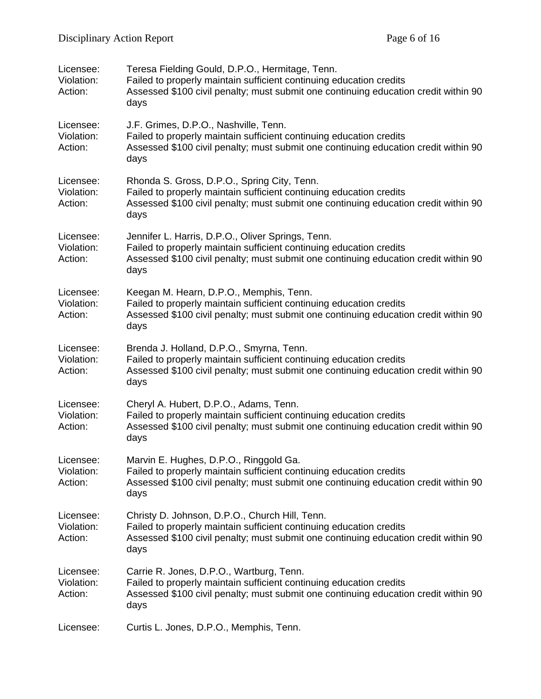| Licensee:<br>Violation:<br>Action: | Teresa Fielding Gould, D.P.O., Hermitage, Tenn.<br>Failed to properly maintain sufficient continuing education credits<br>Assessed \$100 civil penalty; must submit one continuing education credit within 90<br>days   |
|------------------------------------|-------------------------------------------------------------------------------------------------------------------------------------------------------------------------------------------------------------------------|
| Licensee:<br>Violation:<br>Action: | J.F. Grimes, D.P.O., Nashville, Tenn.<br>Failed to properly maintain sufficient continuing education credits<br>Assessed \$100 civil penalty; must submit one continuing education credit within 90<br>days             |
| Licensee:<br>Violation:<br>Action: | Rhonda S. Gross, D.P.O., Spring City, Tenn.<br>Failed to properly maintain sufficient continuing education credits<br>Assessed \$100 civil penalty; must submit one continuing education credit within 90<br>days       |
| Licensee:<br>Violation:<br>Action: | Jennifer L. Harris, D.P.O., Oliver Springs, Tenn.<br>Failed to properly maintain sufficient continuing education credits<br>Assessed \$100 civil penalty; must submit one continuing education credit within 90<br>days |
| Licensee:<br>Violation:<br>Action: | Keegan M. Hearn, D.P.O., Memphis, Tenn.<br>Failed to properly maintain sufficient continuing education credits<br>Assessed \$100 civil penalty; must submit one continuing education credit within 90<br>days           |
| Licensee:<br>Violation:<br>Action: | Brenda J. Holland, D.P.O., Smyrna, Tenn.<br>Failed to properly maintain sufficient continuing education credits<br>Assessed \$100 civil penalty; must submit one continuing education credit within 90<br>days          |
| Licensee:<br>Violation:<br>Action: | Cheryl A. Hubert, D.P.O., Adams, Tenn.<br>Failed to properly maintain sufficient continuing education credits<br>Assessed \$100 civil penalty; must submit one continuing education credit within 90<br>days            |
| Licensee:<br>Violation:<br>Action: | Marvin E. Hughes, D.P.O., Ringgold Ga.<br>Failed to properly maintain sufficient continuing education credits<br>Assessed \$100 civil penalty; must submit one continuing education credit within 90<br>days            |
| Licensee:<br>Violation:<br>Action: | Christy D. Johnson, D.P.O., Church Hill, Tenn.<br>Failed to properly maintain sufficient continuing education credits<br>Assessed \$100 civil penalty; must submit one continuing education credit within 90<br>days    |
| Licensee:<br>Violation:<br>Action: | Carrie R. Jones, D.P.O., Wartburg, Tenn.<br>Failed to properly maintain sufficient continuing education credits<br>Assessed \$100 civil penalty; must submit one continuing education credit within 90<br>days          |
| Licensee:                          | Curtis L. Jones, D.P.O., Memphis, Tenn.                                                                                                                                                                                 |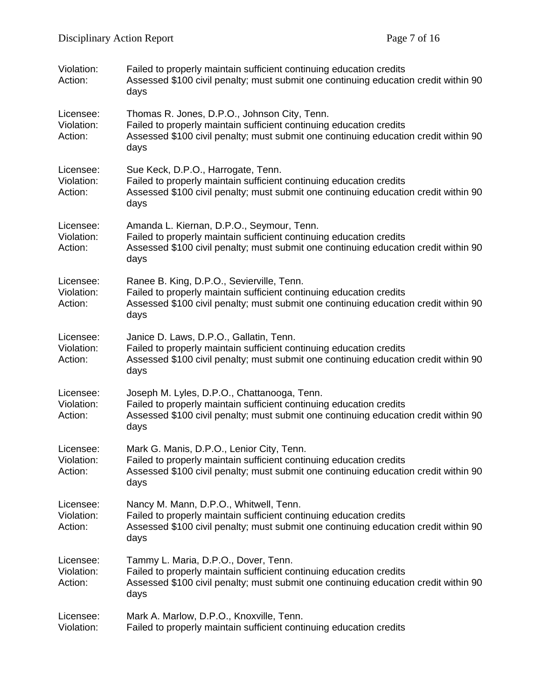| Violation:<br>Action:              | Failed to properly maintain sufficient continuing education credits<br>Assessed \$100 civil penalty; must submit one continuing education credit within 90<br>days                                                 |
|------------------------------------|--------------------------------------------------------------------------------------------------------------------------------------------------------------------------------------------------------------------|
| Licensee:<br>Violation:<br>Action: | Thomas R. Jones, D.P.O., Johnson City, Tenn.<br>Failed to properly maintain sufficient continuing education credits<br>Assessed \$100 civil penalty; must submit one continuing education credit within 90<br>days |
| Licensee:<br>Violation:<br>Action: | Sue Keck, D.P.O., Harrogate, Tenn.<br>Failed to properly maintain sufficient continuing education credits<br>Assessed \$100 civil penalty; must submit one continuing education credit within 90<br>days           |
| Licensee:<br>Violation:<br>Action: | Amanda L. Kiernan, D.P.O., Seymour, Tenn.<br>Failed to properly maintain sufficient continuing education credits<br>Assessed \$100 civil penalty; must submit one continuing education credit within 90<br>days    |
| Licensee:<br>Violation:<br>Action: | Ranee B. King, D.P.O., Sevierville, Tenn.<br>Failed to properly maintain sufficient continuing education credits<br>Assessed \$100 civil penalty; must submit one continuing education credit within 90<br>days    |
| Licensee:<br>Violation:<br>Action: | Janice D. Laws, D.P.O., Gallatin, Tenn.<br>Failed to properly maintain sufficient continuing education credits<br>Assessed \$100 civil penalty; must submit one continuing education credit within 90<br>days      |
| Licensee:<br>Violation:<br>Action: | Joseph M. Lyles, D.P.O., Chattanooga, Tenn.<br>Failed to properly maintain sufficient continuing education credits<br>Assessed \$100 civil penalty; must submit one continuing education credit within 90<br>days  |
| Licensee:<br>Violation:<br>Action: | Mark G. Manis, D.P.O., Lenior City, Tenn.<br>Failed to properly maintain sufficient continuing education credits<br>Assessed \$100 civil penalty; must submit one continuing education credit within 90<br>days    |
| Licensee:<br>Violation:<br>Action: | Nancy M. Mann, D.P.O., Whitwell, Tenn.<br>Failed to properly maintain sufficient continuing education credits<br>Assessed \$100 civil penalty; must submit one continuing education credit within 90<br>days       |
| Licensee:<br>Violation:<br>Action: | Tammy L. Maria, D.P.O., Dover, Tenn.<br>Failed to properly maintain sufficient continuing education credits<br>Assessed \$100 civil penalty; must submit one continuing education credit within 90<br>days         |
| Licensee:<br>Violation:            | Mark A. Marlow, D.P.O., Knoxville, Tenn.<br>Failed to properly maintain sufficient continuing education credits                                                                                                    |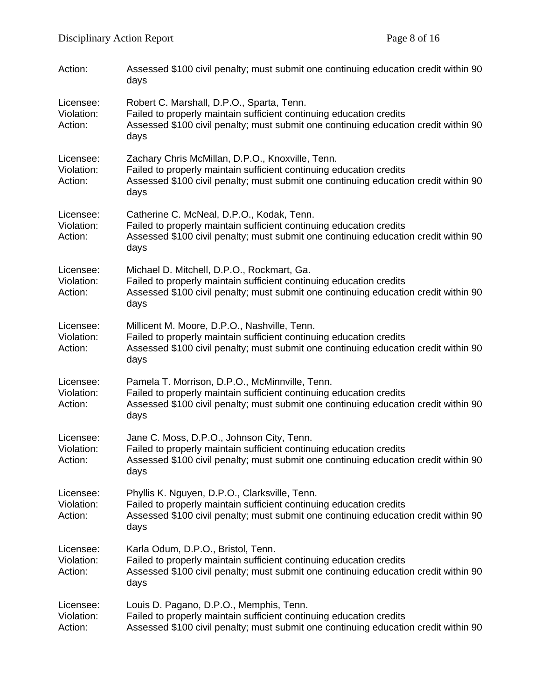| Action:                            | Assessed \$100 civil penalty; must submit one continuing education credit within 90<br>days                                                                                                                            |
|------------------------------------|------------------------------------------------------------------------------------------------------------------------------------------------------------------------------------------------------------------------|
| Licensee:<br>Violation:<br>Action: | Robert C. Marshall, D.P.O., Sparta, Tenn.<br>Failed to properly maintain sufficient continuing education credits<br>Assessed \$100 civil penalty; must submit one continuing education credit within 90<br>days        |
| Licensee:<br>Violation:<br>Action: | Zachary Chris McMillan, D.P.O., Knoxville, Tenn.<br>Failed to properly maintain sufficient continuing education credits<br>Assessed \$100 civil penalty; must submit one continuing education credit within 90<br>days |
| Licensee:<br>Violation:<br>Action: | Catherine C. McNeal, D.P.O., Kodak, Tenn.<br>Failed to properly maintain sufficient continuing education credits<br>Assessed \$100 civil penalty; must submit one continuing education credit within 90<br>days        |
| Licensee:<br>Violation:<br>Action: | Michael D. Mitchell, D.P.O., Rockmart, Ga.<br>Failed to properly maintain sufficient continuing education credits<br>Assessed \$100 civil penalty; must submit one continuing education credit within 90<br>days       |
| Licensee:<br>Violation:<br>Action: | Millicent M. Moore, D.P.O., Nashville, Tenn.<br>Failed to properly maintain sufficient continuing education credits<br>Assessed \$100 civil penalty; must submit one continuing education credit within 90<br>days     |
| Licensee:<br>Violation:<br>Action: | Pamela T. Morrison, D.P.O., McMinnville, Tenn.<br>Failed to properly maintain sufficient continuing education credits<br>Assessed \$100 civil penalty; must submit one continuing education credit within 90<br>days   |
| Licensee:<br>Violation:<br>Action: | Jane C. Moss, D.P.O., Johnson City, Tenn.<br>Failed to properly maintain sufficient continuing education credits<br>Assessed \$100 civil penalty; must submit one continuing education credit within 90<br>days        |
| Licensee:<br>Violation:<br>Action: | Phyllis K. Nguyen, D.P.O., Clarksville, Tenn.<br>Failed to properly maintain sufficient continuing education credits<br>Assessed \$100 civil penalty; must submit one continuing education credit within 90<br>days    |
| Licensee:<br>Violation:<br>Action: | Karla Odum, D.P.O., Bristol, Tenn.<br>Failed to properly maintain sufficient continuing education credits<br>Assessed \$100 civil penalty; must submit one continuing education credit within 90<br>days               |
| Licensee:<br>Violation:<br>Action: | Louis D. Pagano, D.P.O., Memphis, Tenn.<br>Failed to properly maintain sufficient continuing education credits<br>Assessed \$100 civil penalty; must submit one continuing education credit within 90                  |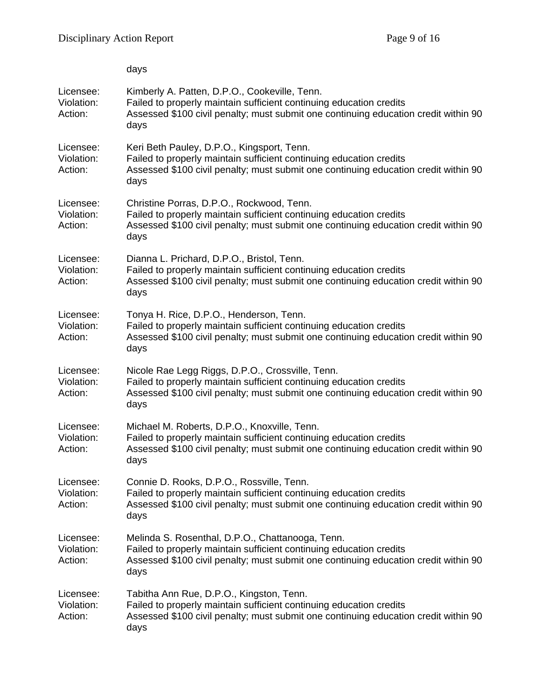|                                    | days                                                                                                                                                                                                                   |
|------------------------------------|------------------------------------------------------------------------------------------------------------------------------------------------------------------------------------------------------------------------|
| Licensee:<br>Violation:<br>Action: | Kimberly A. Patten, D.P.O., Cookeville, Tenn.<br>Failed to properly maintain sufficient continuing education credits<br>Assessed \$100 civil penalty; must submit one continuing education credit within 90<br>days    |
| Licensee:<br>Violation:<br>Action: | Keri Beth Pauley, D.P.O., Kingsport, Tenn.<br>Failed to properly maintain sufficient continuing education credits<br>Assessed \$100 civil penalty; must submit one continuing education credit within 90<br>days       |
| Licensee:<br>Violation:<br>Action: | Christine Porras, D.P.O., Rockwood, Tenn.<br>Failed to properly maintain sufficient continuing education credits<br>Assessed \$100 civil penalty; must submit one continuing education credit within 90<br>days        |
| Licensee:<br>Violation:<br>Action: | Dianna L. Prichard, D.P.O., Bristol, Tenn.<br>Failed to properly maintain sufficient continuing education credits<br>Assessed \$100 civil penalty; must submit one continuing education credit within 90<br>days       |
| Licensee:<br>Violation:<br>Action: | Tonya H. Rice, D.P.O., Henderson, Tenn.<br>Failed to properly maintain sufficient continuing education credits<br>Assessed \$100 civil penalty; must submit one continuing education credit within 90<br>days          |
| Licensee:<br>Violation:<br>Action: | Nicole Rae Legg Riggs, D.P.O., Crossville, Tenn.<br>Failed to properly maintain sufficient continuing education credits<br>Assessed \$100 civil penalty; must submit one continuing education credit within 90<br>days |
| Licensee:<br>Violation:<br>Action: | Michael M. Roberts, D.P.O., Knoxville, Tenn.<br>Failed to properly maintain sufficient continuing education credits<br>Assessed \$100 civil penalty; must submit one continuing education credit within 90<br>days     |
| Licensee:<br>Violation:<br>Action: | Connie D. Rooks, D.P.O., Rossville, Tenn.<br>Failed to properly maintain sufficient continuing education credits<br>Assessed \$100 civil penalty; must submit one continuing education credit within 90<br>days        |
| Licensee:<br>Violation:<br>Action: | Melinda S. Rosenthal, D.P.O., Chattanooga, Tenn.<br>Failed to properly maintain sufficient continuing education credits<br>Assessed \$100 civil penalty; must submit one continuing education credit within 90<br>days |
| Licensee:<br>Violation:<br>Action: | Tabitha Ann Rue, D.P.O., Kingston, Tenn.<br>Failed to properly maintain sufficient continuing education credits<br>Assessed \$100 civil penalty; must submit one continuing education credit within 90<br>days         |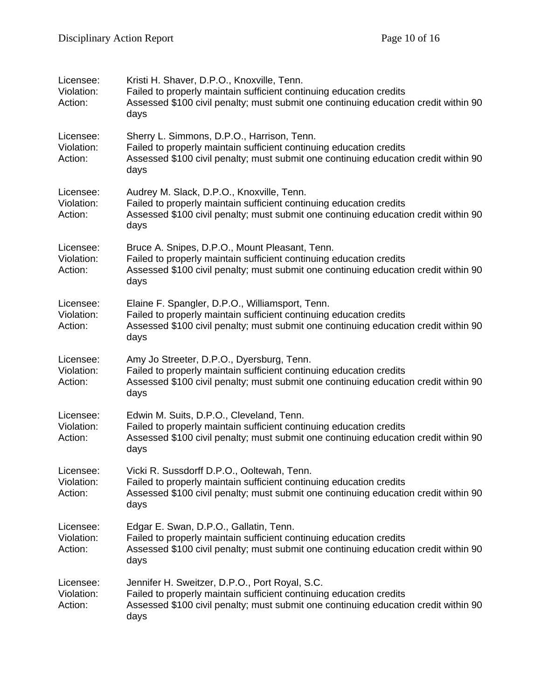| Licensee:<br>Violation:<br>Action: | Kristi H. Shaver, D.P.O., Knoxville, Tenn.<br>Failed to properly maintain sufficient continuing education credits<br>Assessed \$100 civil penalty; must submit one continuing education credit within 90<br>days      |
|------------------------------------|-----------------------------------------------------------------------------------------------------------------------------------------------------------------------------------------------------------------------|
| Licensee:<br>Violation:<br>Action: | Sherry L. Simmons, D.P.O., Harrison, Tenn.<br>Failed to properly maintain sufficient continuing education credits<br>Assessed \$100 civil penalty; must submit one continuing education credit within 90<br>days      |
| Licensee:<br>Violation:<br>Action: | Audrey M. Slack, D.P.O., Knoxville, Tenn.<br>Failed to properly maintain sufficient continuing education credits<br>Assessed \$100 civil penalty; must submit one continuing education credit within 90<br>days       |
| Licensee:<br>Violation:<br>Action: | Bruce A. Snipes, D.P.O., Mount Pleasant, Tenn.<br>Failed to properly maintain sufficient continuing education credits<br>Assessed \$100 civil penalty; must submit one continuing education credit within 90<br>days  |
| Licensee:<br>Violation:<br>Action: | Elaine F. Spangler, D.P.O., Williamsport, Tenn.<br>Failed to properly maintain sufficient continuing education credits<br>Assessed \$100 civil penalty; must submit one continuing education credit within 90<br>days |
| Licensee:<br>Violation:<br>Action: | Amy Jo Streeter, D.P.O., Dyersburg, Tenn.<br>Failed to properly maintain sufficient continuing education credits<br>Assessed \$100 civil penalty; must submit one continuing education credit within 90<br>days       |
| Licensee:<br>Violation:<br>Action: | Edwin M. Suits, D.P.O., Cleveland, Tenn.<br>Failed to properly maintain sufficient continuing education credits<br>Assessed \$100 civil penalty; must submit one continuing education credit within 90<br>days        |
| Licensee:<br>Violation:<br>Action: | Vicki R. Sussdorff D.P.O., Ooltewah, Tenn.<br>Failed to properly maintain sufficient continuing education credits<br>Assessed \$100 civil penalty; must submit one continuing education credit within 90<br>days      |
| Licensee:<br>Violation:<br>Action: | Edgar E. Swan, D.P.O., Gallatin, Tenn.<br>Failed to properly maintain sufficient continuing education credits<br>Assessed \$100 civil penalty; must submit one continuing education credit within 90<br>days          |
| Licensee:<br>Violation:<br>Action: | Jennifer H. Sweitzer, D.P.O., Port Royal, S.C.<br>Failed to properly maintain sufficient continuing education credits<br>Assessed \$100 civil penalty; must submit one continuing education credit within 90<br>days  |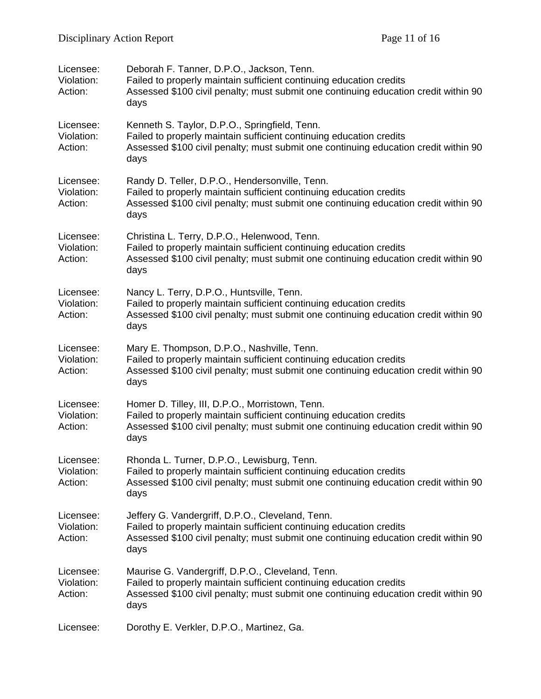| Licensee:<br>Violation:<br>Action: | Deborah F. Tanner, D.P.O., Jackson, Tenn.<br>Failed to properly maintain sufficient continuing education credits<br>Assessed \$100 civil penalty; must submit one continuing education credit within 90<br>days        |
|------------------------------------|------------------------------------------------------------------------------------------------------------------------------------------------------------------------------------------------------------------------|
| Licensee:<br>Violation:<br>Action: | Kenneth S. Taylor, D.P.O., Springfield, Tenn.<br>Failed to properly maintain sufficient continuing education credits<br>Assessed \$100 civil penalty; must submit one continuing education credit within 90<br>days    |
| Licensee:<br>Violation:<br>Action: | Randy D. Teller, D.P.O., Hendersonville, Tenn.<br>Failed to properly maintain sufficient continuing education credits<br>Assessed \$100 civil penalty; must submit one continuing education credit within 90<br>days   |
| Licensee:<br>Violation:<br>Action: | Christina L. Terry, D.P.O., Helenwood, Tenn.<br>Failed to properly maintain sufficient continuing education credits<br>Assessed \$100 civil penalty; must submit one continuing education credit within 90<br>days     |
| Licensee:<br>Violation:<br>Action: | Nancy L. Terry, D.P.O., Huntsville, Tenn.<br>Failed to properly maintain sufficient continuing education credits<br>Assessed \$100 civil penalty; must submit one continuing education credit within 90<br>days        |
| Licensee:<br>Violation:<br>Action: | Mary E. Thompson, D.P.O., Nashville, Tenn.<br>Failed to properly maintain sufficient continuing education credits<br>Assessed \$100 civil penalty; must submit one continuing education credit within 90<br>days       |
| Licensee:<br>Violation:<br>Action: | Homer D. Tilley, III, D.P.O., Morristown, Tenn.<br>Failed to properly maintain sufficient continuing education credits<br>Assessed \$100 civil penalty; must submit one continuing education credit within 90<br>days  |
| Licensee:<br>Violation:<br>Action: | Rhonda L. Turner, D.P.O., Lewisburg, Tenn.<br>Failed to properly maintain sufficient continuing education credits<br>Assessed \$100 civil penalty; must submit one continuing education credit within 90<br>days       |
| Licensee:<br>Violation:<br>Action: | Jeffery G. Vandergriff, D.P.O., Cleveland, Tenn.<br>Failed to properly maintain sufficient continuing education credits<br>Assessed \$100 civil penalty; must submit one continuing education credit within 90<br>days |
| Licensee:<br>Violation:<br>Action: | Maurise G. Vandergriff, D.P.O., Cleveland, Tenn.<br>Failed to properly maintain sufficient continuing education credits<br>Assessed \$100 civil penalty; must submit one continuing education credit within 90<br>days |
| Licensee:                          | Dorothy E. Verkler, D.P.O., Martinez, Ga.                                                                                                                                                                              |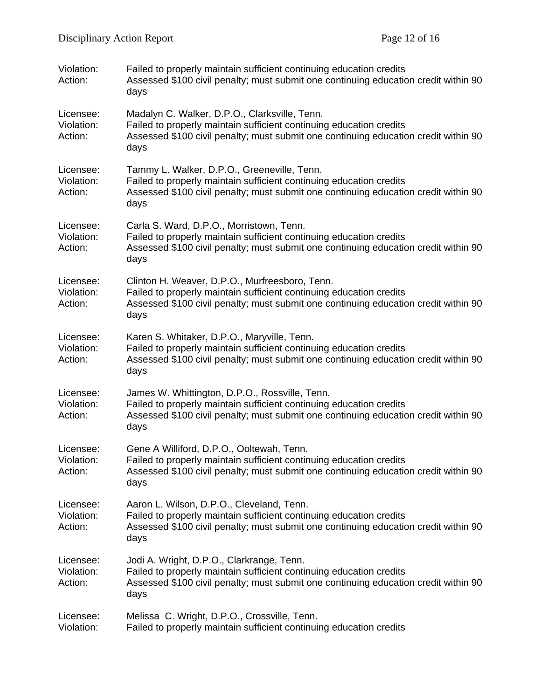| Violation:<br>Action:              | Failed to properly maintain sufficient continuing education credits<br>Assessed \$100 civil penalty; must submit one continuing education credit within 90<br>days                                                   |
|------------------------------------|----------------------------------------------------------------------------------------------------------------------------------------------------------------------------------------------------------------------|
| Licensee:<br>Violation:<br>Action: | Madalyn C. Walker, D.P.O., Clarksville, Tenn.<br>Failed to properly maintain sufficient continuing education credits<br>Assessed \$100 civil penalty; must submit one continuing education credit within 90<br>days  |
| Licensee:<br>Violation:<br>Action: | Tammy L. Walker, D.P.O., Greeneville, Tenn.<br>Failed to properly maintain sufficient continuing education credits<br>Assessed \$100 civil penalty; must submit one continuing education credit within 90<br>days    |
| Licensee:<br>Violation:<br>Action: | Carla S. Ward, D.P.O., Morristown, Tenn.<br>Failed to properly maintain sufficient continuing education credits<br>Assessed \$100 civil penalty; must submit one continuing education credit within 90<br>days       |
| Licensee:<br>Violation:<br>Action: | Clinton H. Weaver, D.P.O., Murfreesboro, Tenn.<br>Failed to properly maintain sufficient continuing education credits<br>Assessed \$100 civil penalty; must submit one continuing education credit within 90<br>days |
| Licensee:<br>Violation:<br>Action: | Karen S. Whitaker, D.P.O., Maryville, Tenn.<br>Failed to properly maintain sufficient continuing education credits<br>Assessed \$100 civil penalty; must submit one continuing education credit within 90<br>days    |
| Licensee:<br>Violation:<br>Action: | James W. Whittington, D.P.O., Rossville, Tenn.<br>Failed to properly maintain sufficient continuing education credits<br>Assessed \$100 civil penalty; must submit one continuing education credit within 90<br>days |
| Licensee:<br>Violation:<br>Action: | Gene A Williford, D.P.O., Ooltewah, Tenn.<br>Failed to properly maintain sufficient continuing education credits<br>Assessed \$100 civil penalty; must submit one continuing education credit within 90<br>days      |
| Licensee:<br>Violation:<br>Action: | Aaron L. Wilson, D.P.O., Cleveland, Tenn.<br>Failed to properly maintain sufficient continuing education credits<br>Assessed \$100 civil penalty; must submit one continuing education credit within 90<br>days      |
| Licensee:<br>Violation:<br>Action: | Jodi A. Wright, D.P.O., Clarkrange, Tenn.<br>Failed to properly maintain sufficient continuing education credits<br>Assessed \$100 civil penalty; must submit one continuing education credit within 90<br>days      |
| Licensee:<br>Violation:            | Melissa C. Wright, D.P.O., Crossville, Tenn.<br>Failed to properly maintain sufficient continuing education credits                                                                                                  |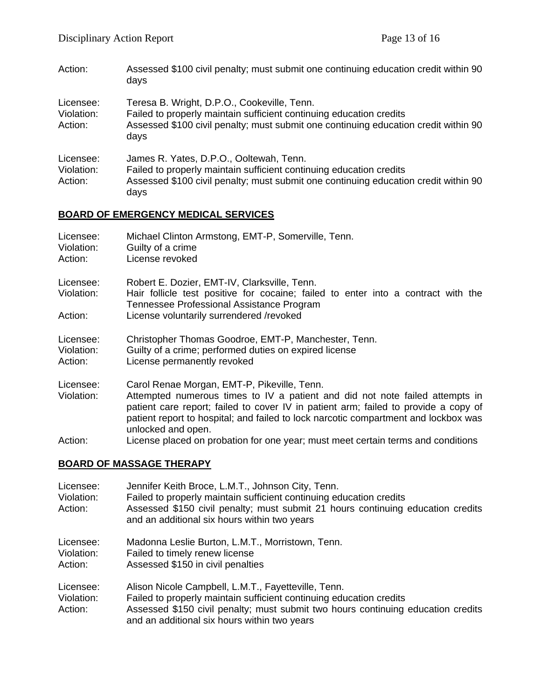Action: Assessed \$100 civil penalty; must submit one continuing education credit within 90 days

| Licensee:<br>Violation:<br>Action: | Teresa B. Wright, D.P.O., Cookeville, Tenn.<br>Failed to properly maintain sufficient continuing education credits<br>Assessed \$100 civil penalty; must submit one continuing education credit within 90<br>days |
|------------------------------------|-------------------------------------------------------------------------------------------------------------------------------------------------------------------------------------------------------------------|
| Licensee:<br>Violation:<br>Action: | James R. Yates, D.P.O., Ooltewah, Tenn.<br>Failed to properly maintain sufficient continuing education credits<br>Assessed \$100 civil penalty; must submit one continuing education credit within 90<br>days     |

## **BOARD OF EMERGENCY MEDICAL SERVICES**

| <b>ROARD OF MASSAGE THERAPY</b>    |                                                                                                                                                                                                                    |
|------------------------------------|--------------------------------------------------------------------------------------------------------------------------------------------------------------------------------------------------------------------|
| Action:                            | patient report to hospital; and failed to lock narcotic compartment and lockbox was<br>unlocked and open.<br>License placed on probation for one year; must meet certain terms and conditions                      |
| Licensee:<br>Violation:            | Carol Renae Morgan, EMT-P, Pikeville, Tenn.<br>Attempted numerous times to IV a patient and did not note failed attempts in<br>patient care report; failed to cover IV in patient arm; failed to provide a copy of |
| Licensee:<br>Violation:<br>Action: | Christopher Thomas Goodroe, EMT-P, Manchester, Tenn.<br>Guilty of a crime; performed duties on expired license<br>License permanently revoked                                                                      |
| Violation:<br>Action:              | Hair follicle test positive for cocaine; failed to enter into a contract with the<br>Tennessee Professional Assistance Program<br>License voluntarily surrendered /revoked                                         |
| Violation:<br>Action:<br>Licensee: | Guilty of a crime<br>License revoked<br>Robert E. Dozier, EMT-IV, Clarksville, Tenn.                                                                                                                               |
| Licensee:                          | Michael Clinton Armstong, EMT-P, Somerville, Tenn.                                                                                                                                                                 |

### **BOARD OF MASSAGE THERAPY**

| Licensee:<br>Violation:<br>Action: | Jennifer Keith Broce, L.M.T., Johnson City, Tenn.<br>Failed to properly maintain sufficient continuing education credits<br>Assessed \$150 civil penalty; must submit 21 hours continuing education credits<br>and an additional six hours within two years    |
|------------------------------------|----------------------------------------------------------------------------------------------------------------------------------------------------------------------------------------------------------------------------------------------------------------|
| Licensee:<br>Violation:<br>Action: | Madonna Leslie Burton, L.M.T., Morristown, Tenn.<br>Failed to timely renew license<br>Assessed \$150 in civil penalties                                                                                                                                        |
| Licensee:<br>Violation:<br>Action: | Alison Nicole Campbell, L.M.T., Fayetteville, Tenn.<br>Failed to properly maintain sufficient continuing education credits<br>Assessed \$150 civil penalty; must submit two hours continuing education credits<br>and an additional six hours within two years |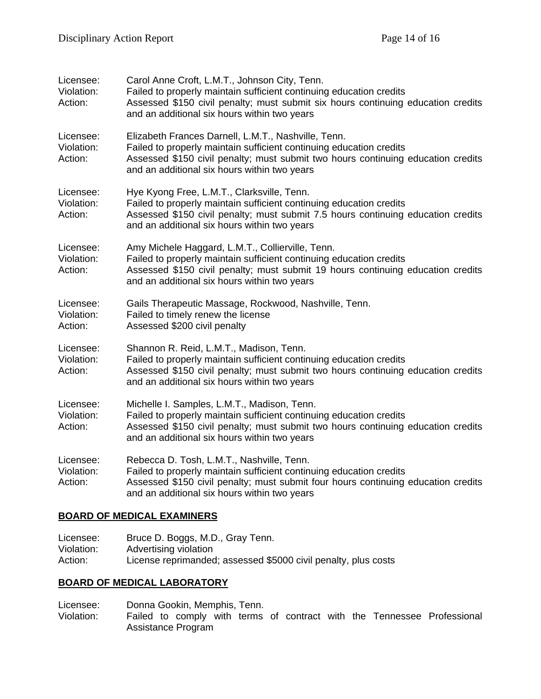| Licensee:<br>Violation:<br>Action: | Carol Anne Croft, L.M.T., Johnson City, Tenn.<br>Failed to properly maintain sufficient continuing education credits<br>Assessed \$150 civil penalty; must submit six hours continuing education credits<br>and an additional six hours within two years       |
|------------------------------------|----------------------------------------------------------------------------------------------------------------------------------------------------------------------------------------------------------------------------------------------------------------|
| Licensee:<br>Violation:<br>Action: | Elizabeth Frances Darnell, L.M.T., Nashville, Tenn.<br>Failed to properly maintain sufficient continuing education credits<br>Assessed \$150 civil penalty; must submit two hours continuing education credits<br>and an additional six hours within two years |
| Licensee:<br>Violation:<br>Action: | Hye Kyong Free, L.M.T., Clarksville, Tenn.<br>Failed to properly maintain sufficient continuing education credits<br>Assessed \$150 civil penalty; must submit 7.5 hours continuing education credits<br>and an additional six hours within two years          |
| Licensee:<br>Violation:<br>Action: | Amy Michele Haggard, L.M.T., Collierville, Tenn.<br>Failed to properly maintain sufficient continuing education credits<br>Assessed \$150 civil penalty; must submit 19 hours continuing education credits<br>and an additional six hours within two years     |
| Licensee:<br>Violation:<br>Action: | Gails Therapeutic Massage, Rockwood, Nashville, Tenn.<br>Failed to timely renew the license<br>Assessed \$200 civil penalty                                                                                                                                    |
| Licensee:<br>Violation:<br>Action: | Shannon R. Reid, L.M.T., Madison, Tenn.<br>Failed to properly maintain sufficient continuing education credits<br>Assessed \$150 civil penalty; must submit two hours continuing education credits<br>and an additional six hours within two years             |
| Licensee:<br>Violation:<br>Action: | Michelle I. Samples, L.M.T., Madison, Tenn.<br>Failed to properly maintain sufficient continuing education credits<br>Assessed \$150 civil penalty; must submit two hours continuing education credits<br>and an additional six hours within two years         |
| Licensee:<br>Violation:<br>Action: | Rebecca D. Tosh, L.M.T., Nashville, Tenn.<br>Failed to properly maintain sufficient continuing education credits<br>Assessed \$150 civil penalty; must submit four hours continuing education credits<br>and an additional six hours within two years          |

## **BOARD OF MEDICAL EXAMINERS**

| Licensee:  | Bruce D. Boggs, M.D., Gray Tenn.                               |
|------------|----------------------------------------------------------------|
| Violation: | Advertising violation                                          |
| Action:    | License reprimanded; assessed \$5000 civil penalty, plus costs |

## **BOARD OF MEDICAL LABORATORY**

Licensee: Donna Gookin, Memphis, Tenn.

Violation: Failed to comply with terms of contract with the Tennessee Professional Assistance Program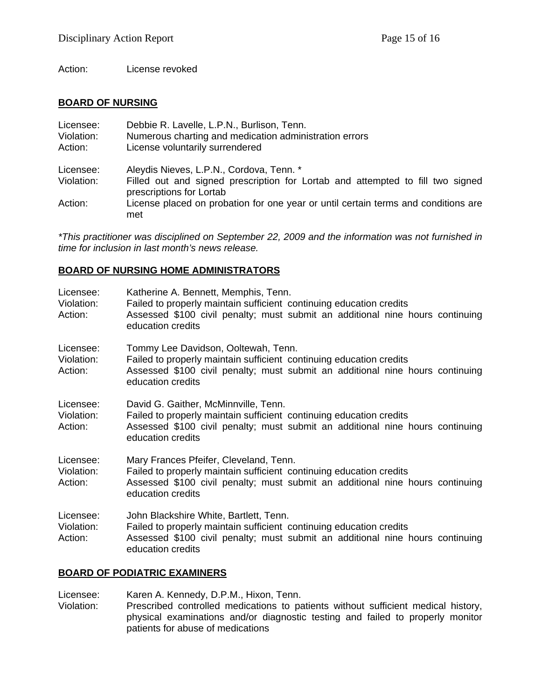Action: License revoked

### **BOARD OF NURSING**

| Licensee:             | Debbie R. Lavelle, L.P.N., Burlison, Tenn.                                                                 |
|-----------------------|------------------------------------------------------------------------------------------------------------|
| Violation:<br>Action: | Numerous charting and medication administration errors<br>License voluntarily surrendered                  |
| Licensee:             | Aleydis Nieves, L.P.N., Cordova, Tenn. *                                                                   |
| Violation:            | Filled out and signed prescription for Lortab and attempted to fill two signed<br>prescriptions for Lortab |
| Action:               | License placed on probation for one year or until certain terms and conditions are<br>met                  |

*\*This practitioner was disciplined on September 22, 2009 and the information was not furnished in time for inclusion in last month's news release.* 

### **BOARD OF NURSING HOME ADMINISTRATORS**

| Licensee:<br>Violation:<br>Action: | Katherine A. Bennett, Memphis, Tenn.<br>Failed to properly maintain sufficient continuing education credits<br>Assessed \$100 civil penalty; must submit an additional nine hours continuing<br>education credits   |
|------------------------------------|---------------------------------------------------------------------------------------------------------------------------------------------------------------------------------------------------------------------|
| Licensee:<br>Violation:<br>Action: | Tommy Lee Davidson, Ooltewah, Tenn.<br>Failed to properly maintain sufficient continuing education credits<br>Assessed \$100 civil penalty; must submit an additional nine hours continuing<br>education credits    |
| Licensee:<br>Violation:<br>Action: | David G. Gaither, McMinnville, Tenn.<br>Failed to properly maintain sufficient continuing education credits<br>Assessed \$100 civil penalty; must submit an additional nine hours continuing<br>education credits   |
| Licensee:<br>Violation:<br>Action: | Mary Frances Pfeifer, Cleveland, Tenn.<br>Failed to properly maintain sufficient continuing education credits<br>Assessed \$100 civil penalty; must submit an additional nine hours continuing<br>education credits |
| Licensee:<br>Violation:<br>Action: | John Blackshire White, Bartlett, Tenn.<br>Failed to properly maintain sufficient continuing education credits<br>Assessed \$100 civil penalty; must submit an additional nine hours continuing<br>education credits |

### **BOARD OF PODIATRIC EXAMINERS**

Licensee: Karen A. Kennedy, D.P.M., Hixon, Tenn. Violation: Prescribed controlled medications to patients without sufficient medical history, physical examinations and/or diagnostic testing and failed to properly monitor patients for abuse of medications